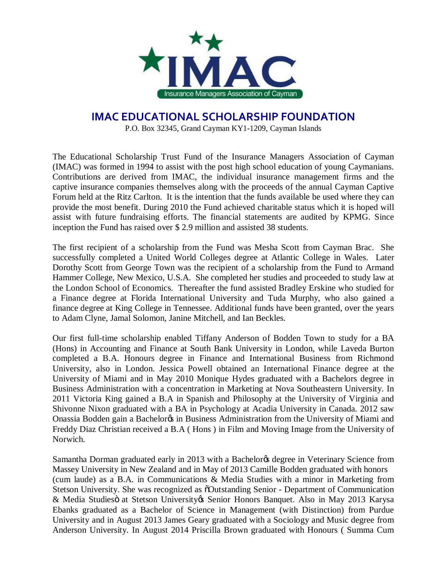

## **IMAC EDUCATIONAL SCHOLARSHIP FOUNDATION**

P.O. Box 32345, Grand Cayman KY1-1209, Cayman Islands

The Educational Scholarship Trust Fund of the Insurance Managers Association of Cayman (IMAC) was formed in 1994 to assist with the post high school education of young Caymanians. Contributions are derived from IMAC, the individual insurance management firms and the captive insurance companies themselves along with the proceeds of the annual Cayman Captive Forum held at the Ritz Carlton. It is the intention that the funds available be used where they can provide the most benefit. During 2010 the Fund achieved charitable status which it is hoped will assist with future fundraising efforts. The financial statements are audited by KPMG. Since inception the Fund has raised over \$ 2.9 million and assisted 38 students.

The first recipient of a scholarship from the Fund was Mesha Scott from Cayman Brac. She successfully completed a United World Colleges degree at Atlantic College in Wales. Later Dorothy Scott from George Town was the recipient of a scholarship from the Fund to Armand Hammer College, New Mexico, U.S.A. She completed her studies and proceeded to study law at the London School of Economics. Thereafter the fund assisted Bradley Erskine who studied for a Finance degree at Florida International University and Tuda Murphy, who also gained a finance degree at King College in Tennessee. Additional funds have been granted, over the years to Adam Clyne, Jamal Solomon, Janine Mitchell, and Ian Beckles.

Our first full-time scholarship enabled Tiffany Anderson of Bodden Town to study for a BA (Hons) in Accounting and Finance at South Bank University in London, while Laveda Burton completed a B.A. Honours degree in Finance and International Business from Richmond University, also in London. Jessica Powell obtained an International Finance degree at the University of Miami and in May 2010 Monique Hydes graduated with a Bachelors degree in Business Administration with a concentration in Marketing at Nova Southeastern University. In 2011 Victoria King gained a B.A in Spanish and Philosophy at the University of Virginia and Shivonne Nixon graduated with a BA in Psychology at Acadia University in Canada. 2012 saw Onassia Bodden gain a Bachelor in Business Administration from the University of Miami and Freddy Diaz Christian received a B.A ( Hons ) in Film and Moving Image from the University of Norwich.

Samantha Dorman graduated early in 2013 with a Bachelor ts degree in Veterinary Science from Massey University in New Zealand and in May of 2013 Camille Bodden graduated with honors (cum laude) as a B.A. in Communications & Media Studies with a minor in Marketing from Stetson University. She was recognized as  $\delta$ Outstanding Senior - Department of Communication & Media Studiesö at Stetson University & Senior Honors Banquet. Also in May 2013 Karysa Ebanks graduated as a Bachelor of Science in Management (with Distinction) from Purdue University and in August 2013 James Geary graduated with a Sociology and Music degree from Anderson University. In August 2014 Priscilla Brown graduated with Honours ( Summa Cum